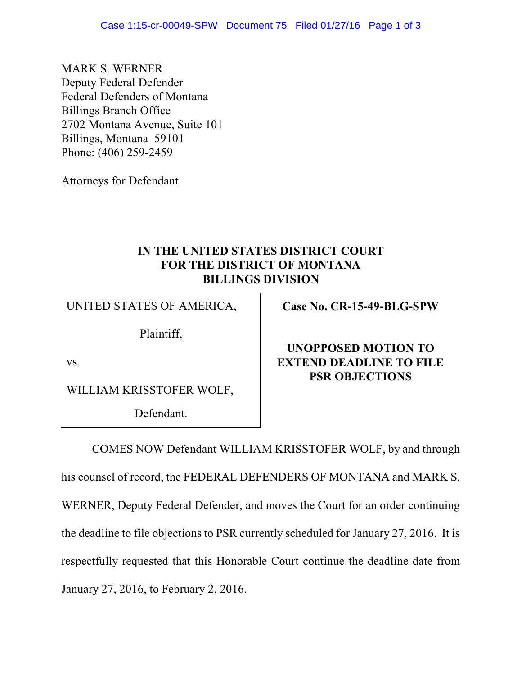MARK S. WERNER Deputy Federal Defender Federal Defenders of Montana Billings Branch Office 2702 Montana Avenue, Suite 101 Billings, Montana 59101 Phone: (406) 259-2459

Attorneys for Defendant

## **IN THE UNITED STATES DISTRICT COURT FOR THE DISTRICT OF MONTANA BILLINGS DIVISION**

UNITED STATES OF AMERICA,

Plaintiff,

vs.

WILLIAM KRISSTOFER WOLF,

Defendant.

**Case No. CR-15-49-BLG-SPW**

## **UNOPPOSED MOTION TO EXTEND DEADLINE TO FILE PSR OBJECTIONS**

COMES NOW Defendant WILLIAM KRISSTOFER WOLF, by and through his counsel of record, the FEDERAL DEFENDERS OF MONTANA and MARK S. WERNER, Deputy Federal Defender, and moves the Court for an order continuing the deadline to file objections to PSR currently scheduled for January 27, 2016. It is respectfully requested that this Honorable Court continue the deadline date from January 27, 2016, to February 2, 2016.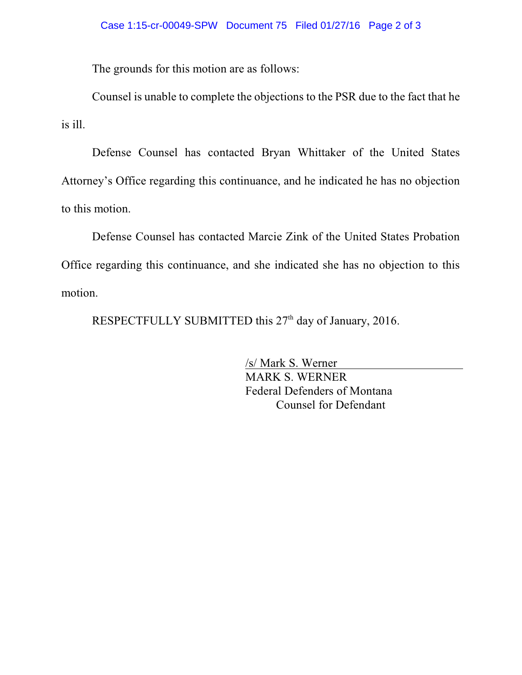The grounds for this motion are as follows:

Counsel is unable to complete the objections to the PSR due to the fact that he is ill.

Defense Counsel has contacted Bryan Whittaker of the United States Attorney's Office regarding this continuance, and he indicated he has no objection to this motion.

Defense Counsel has contacted Marcie Zink of the United States Probation Office regarding this continuance, and she indicated she has no objection to this motion.

RESPECTFULLY SUBMITTED this 27<sup>th</sup> day of January, 2016.

/s/ Mark S. Werner MARK S. WERNER Federal Defenders of Montana Counsel for Defendant